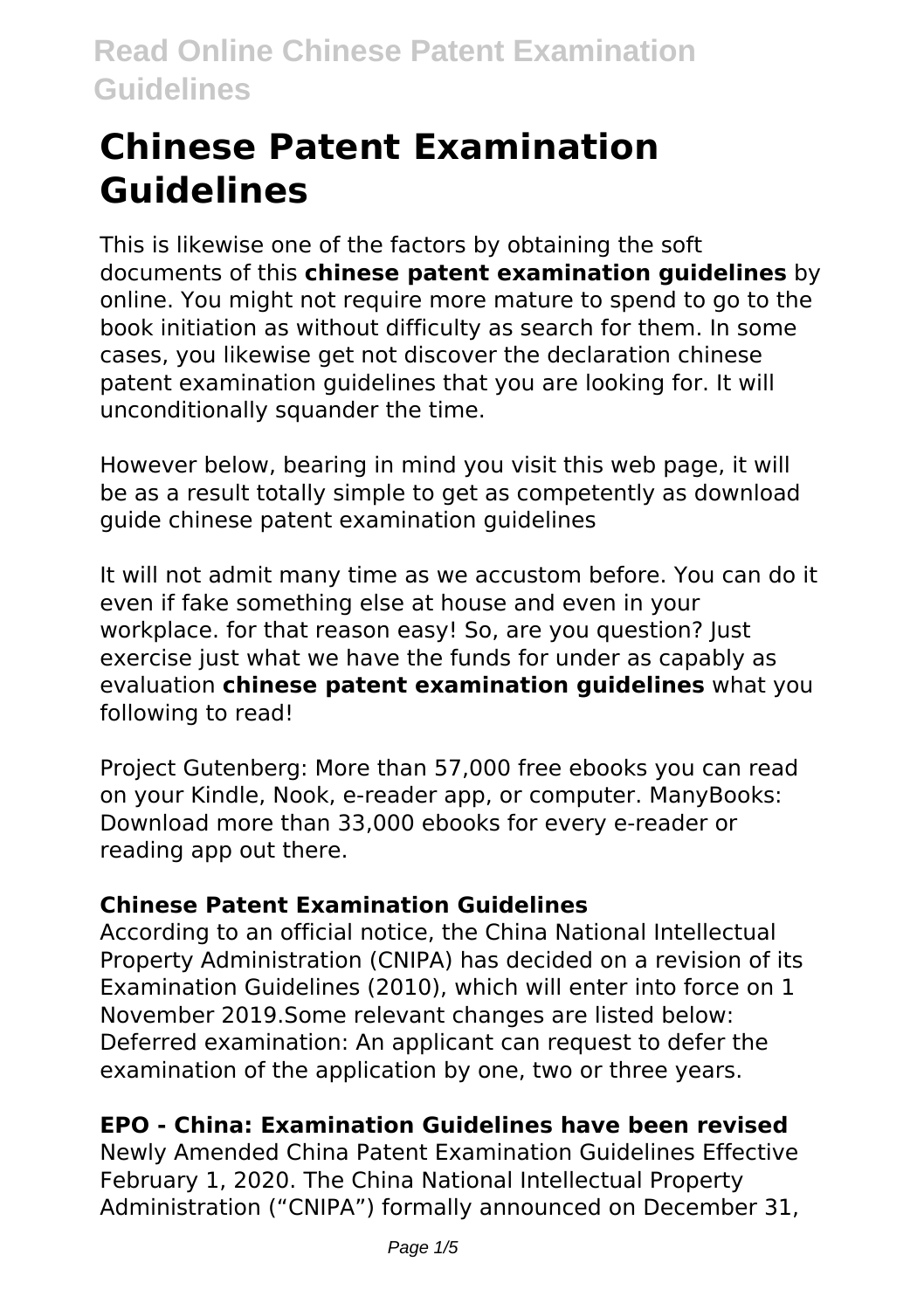# **Chinese Patent Examination Guidelines**

This is likewise one of the factors by obtaining the soft documents of this **chinese patent examination guidelines** by online. You might not require more mature to spend to go to the book initiation as without difficulty as search for them. In some cases, you likewise get not discover the declaration chinese patent examination guidelines that you are looking for. It will unconditionally squander the time.

However below, bearing in mind you visit this web page, it will be as a result totally simple to get as competently as download guide chinese patent examination guidelines

It will not admit many time as we accustom before. You can do it even if fake something else at house and even in your workplace, for that reason easy! So, are you question? lust exercise just what we have the funds for under as capably as evaluation **chinese patent examination guidelines** what you following to read!

Project Gutenberg: More than 57,000 free ebooks you can read on your Kindle, Nook, e-reader app, or computer. ManyBooks: Download more than 33,000 ebooks for every e-reader or reading app out there.

# **Chinese Patent Examination Guidelines**

According to an official notice, the China National Intellectual Property Administration (CNIPA) has decided on a revision of its Examination Guidelines (2010), which will enter into force on 1 November 2019.Some relevant changes are listed below: Deferred examination: An applicant can request to defer the examination of the application by one, two or three years.

# **EPO - China: Examination Guidelines have been revised**

Newly Amended China Patent Examination Guidelines Effective February 1, 2020. The China National Intellectual Property Administration ("CNIPA") formally announced on December 31,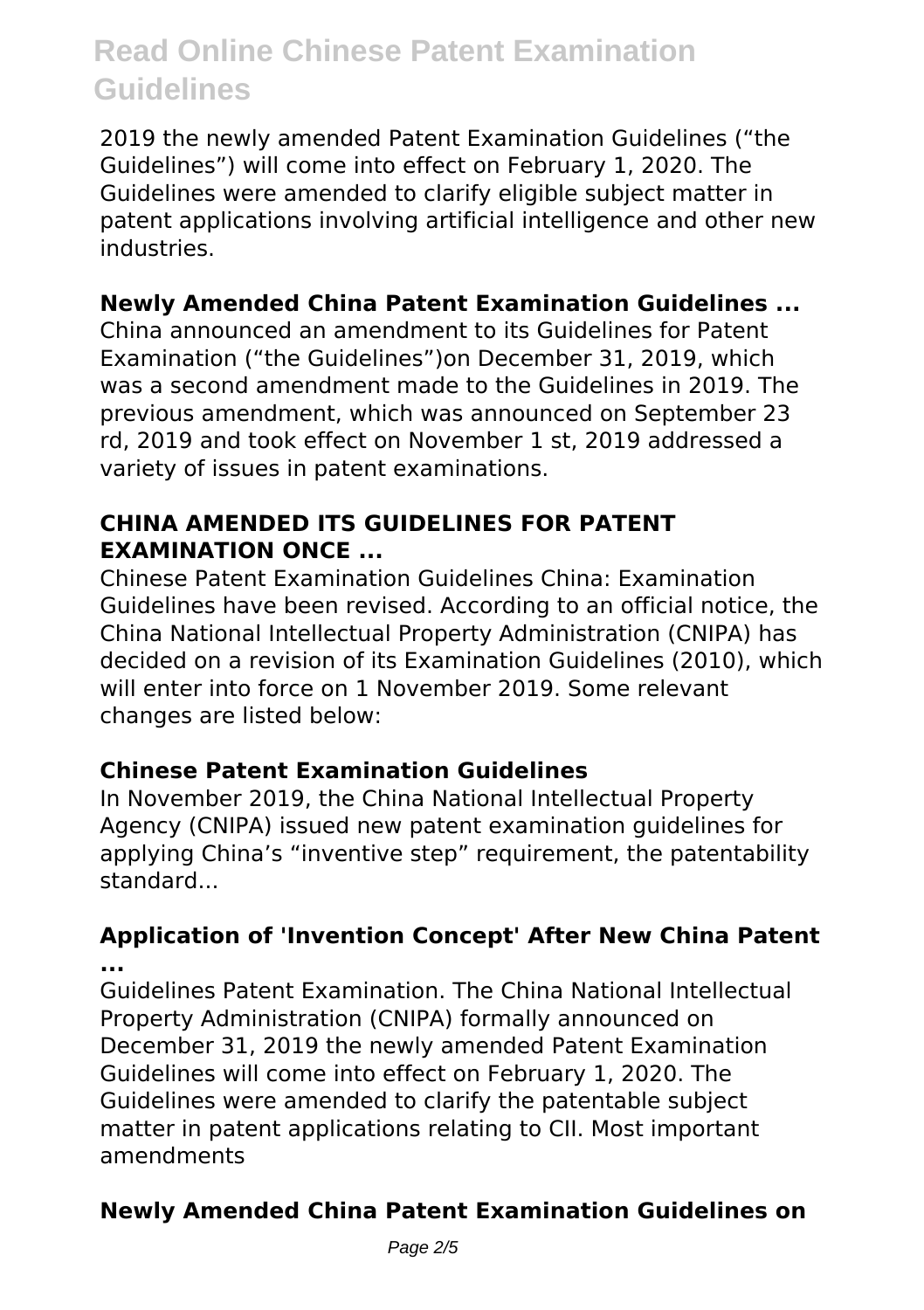2019 the newly amended Patent Examination Guidelines ("the Guidelines") will come into effect on February 1, 2020. The Guidelines were amended to clarify eligible subject matter in patent applications involving artificial intelligence and other new industries.

# **Newly Amended China Patent Examination Guidelines ...**

China announced an amendment to its Guidelines for Patent Examination ("the Guidelines")on December 31, 2019, which was a second amendment made to the Guidelines in 2019. The previous amendment, which was announced on September 23 rd, 2019 and took effect on November 1 st, 2019 addressed a variety of issues in patent examinations.

# **CHINA AMENDED ITS GUIDELINES FOR PATENT EXAMINATION ONCE ...**

Chinese Patent Examination Guidelines China: Examination Guidelines have been revised. According to an official notice, the China National Intellectual Property Administration (CNIPA) has decided on a revision of its Examination Guidelines (2010), which will enter into force on 1 November 2019. Some relevant changes are listed below:

### **Chinese Patent Examination Guidelines**

In November 2019, the China National Intellectual Property Agency (CNIPA) issued new patent examination guidelines for applying China's "inventive step" requirement, the patentability standard...

#### **Application of 'Invention Concept' After New China Patent ...**

Guidelines Patent Examination. The China National Intellectual Property Administration (CNIPA) formally announced on December 31, 2019 the newly amended Patent Examination Guidelines will come into effect on February 1, 2020. The Guidelines were amended to clarify the patentable subject matter in patent applications relating to CII. Most important amendments

# **Newly Amended China Patent Examination Guidelines on**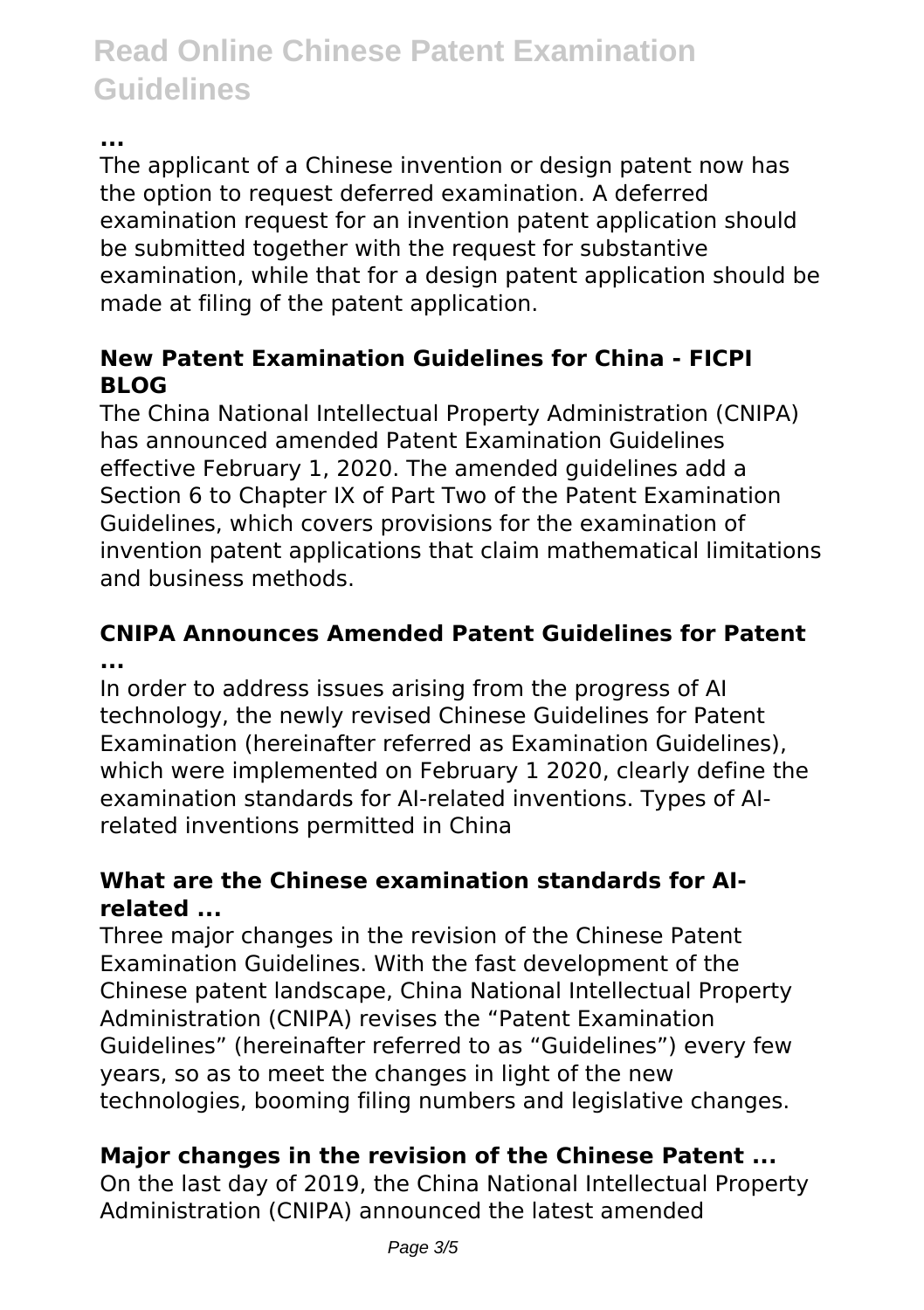**...**

The applicant of a Chinese invention or design patent now has the option to request deferred examination. A deferred examination request for an invention patent application should be submitted together with the request for substantive examination, while that for a design patent application should be made at filing of the patent application.

# **New Patent Examination Guidelines for China - FICPI BLOG**

The China National Intellectual Property Administration (CNIPA) has announced amended Patent Examination Guidelines effective February 1, 2020. The amended guidelines add a Section 6 to Chapter IX of Part Two of the Patent Examination Guidelines, which covers provisions for the examination of invention patent applications that claim mathematical limitations and business methods.

# **CNIPA Announces Amended Patent Guidelines for Patent ...**

In order to address issues arising from the progress of AI technology, the newly revised Chinese Guidelines for Patent Examination (hereinafter referred as Examination Guidelines), which were implemented on February 1 2020, clearly define the examination standards for AI-related inventions. Types of AIrelated inventions permitted in China

# **What are the Chinese examination standards for AIrelated ...**

Three major changes in the revision of the Chinese Patent Examination Guidelines. With the fast development of the Chinese patent landscape, China National Intellectual Property Administration (CNIPA) revises the "Patent Examination Guidelines" (hereinafter referred to as "Guidelines") every few years, so as to meet the changes in light of the new technologies, booming filing numbers and legislative changes.

# **Major changes in the revision of the Chinese Patent ...**

On the last day of 2019, the China National Intellectual Property Administration (CNIPA) announced the latest amended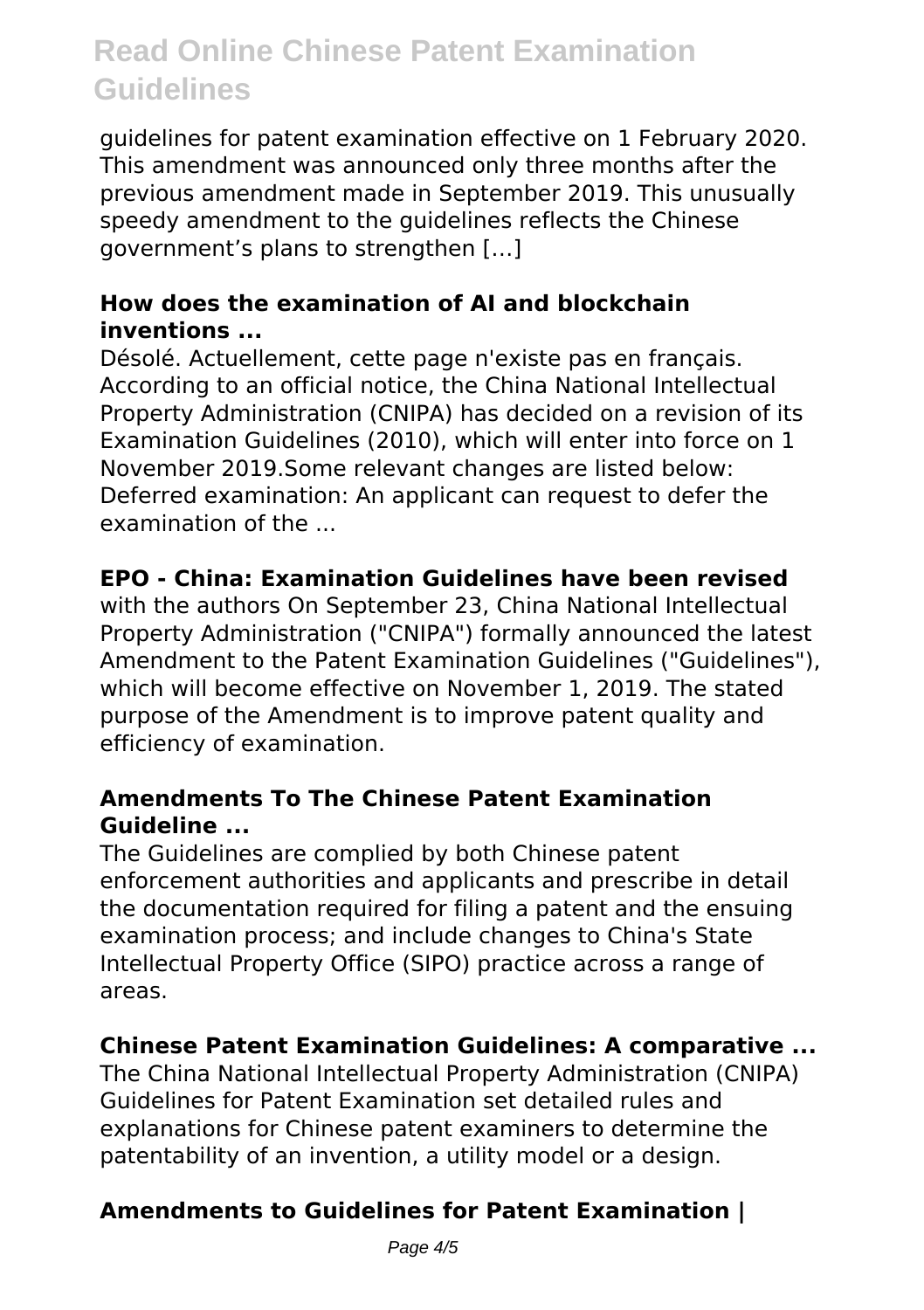guidelines for patent examination effective on 1 February 2020. This amendment was announced only three months after the previous amendment made in September 2019. This unusually speedy amendment to the guidelines reflects the Chinese government's plans to strengthen […]

# **How does the examination of AI and blockchain inventions ...**

Désolé. Actuellement, cette page n'existe pas en français. According to an official notice, the China National Intellectual Property Administration (CNIPA) has decided on a revision of its Examination Guidelines (2010), which will enter into force on 1 November 2019.Some relevant changes are listed below: Deferred examination: An applicant can request to defer the examination of the ...

### **EPO - China: Examination Guidelines have been revised**

with the authors On September 23, China National Intellectual Property Administration ("CNIPA") formally announced the latest Amendment to the Patent Examination Guidelines ("Guidelines"), which will become effective on November 1, 2019. The stated purpose of the Amendment is to improve patent quality and efficiency of examination.

### **Amendments To The Chinese Patent Examination Guideline ...**

The Guidelines are complied by both Chinese patent enforcement authorities and applicants and prescribe in detail the documentation required for filing a patent and the ensuing examination process; and include changes to China's State Intellectual Property Office (SIPO) practice across a range of areas.

#### **Chinese Patent Examination Guidelines: A comparative ...**

The China National Intellectual Property Administration (CNIPA) Guidelines for Patent Examination set detailed rules and explanations for Chinese patent examiners to determine the patentability of an invention, a utility model or a design.

# **Amendments to Guidelines for Patent Examination |**